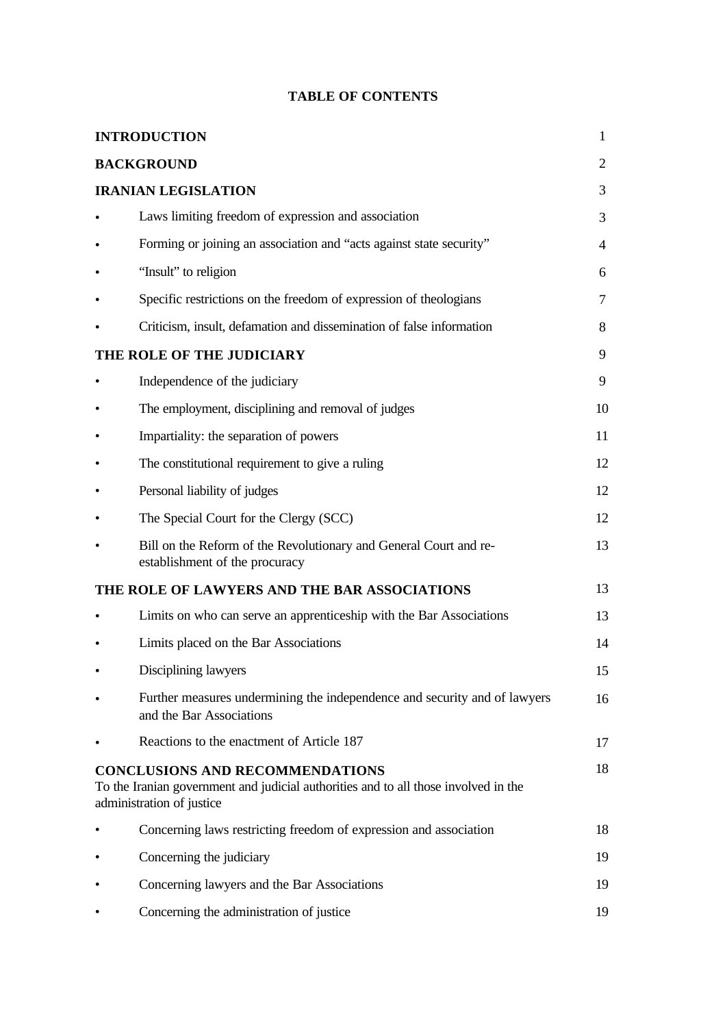|  |  | <b>TABLE OF CONTENTS</b> |
|--|--|--------------------------|
|--|--|--------------------------|

| <b>INTRODUCTION</b> |                                                                                                                                                                                                                                                                                                                                                                                                                                                                                                                                                                                                                                                                                                                                                                                                                                                                                                                                                                                                                                                                                                                                        |                |  |  |  |
|---------------------|----------------------------------------------------------------------------------------------------------------------------------------------------------------------------------------------------------------------------------------------------------------------------------------------------------------------------------------------------------------------------------------------------------------------------------------------------------------------------------------------------------------------------------------------------------------------------------------------------------------------------------------------------------------------------------------------------------------------------------------------------------------------------------------------------------------------------------------------------------------------------------------------------------------------------------------------------------------------------------------------------------------------------------------------------------------------------------------------------------------------------------------|----------------|--|--|--|
|                     |                                                                                                                                                                                                                                                                                                                                                                                                                                                                                                                                                                                                                                                                                                                                                                                                                                                                                                                                                                                                                                                                                                                                        | 2              |  |  |  |
|                     |                                                                                                                                                                                                                                                                                                                                                                                                                                                                                                                                                                                                                                                                                                                                                                                                                                                                                                                                                                                                                                                                                                                                        | 3              |  |  |  |
|                     | Laws limiting freedom of expression and association                                                                                                                                                                                                                                                                                                                                                                                                                                                                                                                                                                                                                                                                                                                                                                                                                                                                                                                                                                                                                                                                                    | 3              |  |  |  |
|                     | Forming or joining an association and "acts against state security"                                                                                                                                                                                                                                                                                                                                                                                                                                                                                                                                                                                                                                                                                                                                                                                                                                                                                                                                                                                                                                                                    | $\overline{4}$ |  |  |  |
|                     | "Insult" to religion                                                                                                                                                                                                                                                                                                                                                                                                                                                                                                                                                                                                                                                                                                                                                                                                                                                                                                                                                                                                                                                                                                                   | 6              |  |  |  |
|                     | Specific restrictions on the freedom of expression of theologians                                                                                                                                                                                                                                                                                                                                                                                                                                                                                                                                                                                                                                                                                                                                                                                                                                                                                                                                                                                                                                                                      | 7              |  |  |  |
|                     | <b>BACKGROUND</b><br><b>IRANIAN LEGISLATION</b><br>Criticism, insult, defamation and dissemination of false information<br>THE ROLE OF THE JUDICIARY<br>Independence of the judiciary<br>The employment, disciplining and removal of judges<br>Impartiality: the separation of powers<br>The constitutional requirement to give a ruling<br>Personal liability of judges<br>The Special Court for the Clergy (SCC)<br>Bill on the Reform of the Revolutionary and General Court and re-<br>establishment of the procuracy<br>THE ROLE OF LAWYERS AND THE BAR ASSOCIATIONS<br>Limits on who can serve an apprenticeship with the Bar Associations<br>Limits placed on the Bar Associations<br>Disciplining lawyers<br>Further measures undermining the independence and security and of lawyers<br>and the Bar Associations<br>Reactions to the enactment of Article 187<br><b>CONCLUSIONS AND RECOMMENDATIONS</b><br>To the Iranian government and judicial authorities and to all those involved in the<br>administration of justice<br>Concerning laws restricting freedom of expression and association<br>Concerning the judiciary |                |  |  |  |
|                     |                                                                                                                                                                                                                                                                                                                                                                                                                                                                                                                                                                                                                                                                                                                                                                                                                                                                                                                                                                                                                                                                                                                                        | 9              |  |  |  |
|                     |                                                                                                                                                                                                                                                                                                                                                                                                                                                                                                                                                                                                                                                                                                                                                                                                                                                                                                                                                                                                                                                                                                                                        | 9              |  |  |  |
| ٠                   |                                                                                                                                                                                                                                                                                                                                                                                                                                                                                                                                                                                                                                                                                                                                                                                                                                                                                                                                                                                                                                                                                                                                        | 10             |  |  |  |
|                     |                                                                                                                                                                                                                                                                                                                                                                                                                                                                                                                                                                                                                                                                                                                                                                                                                                                                                                                                                                                                                                                                                                                                        | 11             |  |  |  |
|                     |                                                                                                                                                                                                                                                                                                                                                                                                                                                                                                                                                                                                                                                                                                                                                                                                                                                                                                                                                                                                                                                                                                                                        | 12             |  |  |  |
|                     |                                                                                                                                                                                                                                                                                                                                                                                                                                                                                                                                                                                                                                                                                                                                                                                                                                                                                                                                                                                                                                                                                                                                        | 12             |  |  |  |
|                     |                                                                                                                                                                                                                                                                                                                                                                                                                                                                                                                                                                                                                                                                                                                                                                                                                                                                                                                                                                                                                                                                                                                                        | 12             |  |  |  |
|                     |                                                                                                                                                                                                                                                                                                                                                                                                                                                                                                                                                                                                                                                                                                                                                                                                                                                                                                                                                                                                                                                                                                                                        | 13             |  |  |  |
|                     |                                                                                                                                                                                                                                                                                                                                                                                                                                                                                                                                                                                                                                                                                                                                                                                                                                                                                                                                                                                                                                                                                                                                        | 13             |  |  |  |
|                     |                                                                                                                                                                                                                                                                                                                                                                                                                                                                                                                                                                                                                                                                                                                                                                                                                                                                                                                                                                                                                                                                                                                                        | 13             |  |  |  |
|                     |                                                                                                                                                                                                                                                                                                                                                                                                                                                                                                                                                                                                                                                                                                                                                                                                                                                                                                                                                                                                                                                                                                                                        | 14             |  |  |  |
|                     |                                                                                                                                                                                                                                                                                                                                                                                                                                                                                                                                                                                                                                                                                                                                                                                                                                                                                                                                                                                                                                                                                                                                        | 15             |  |  |  |
|                     |                                                                                                                                                                                                                                                                                                                                                                                                                                                                                                                                                                                                                                                                                                                                                                                                                                                                                                                                                                                                                                                                                                                                        | 16             |  |  |  |
|                     |                                                                                                                                                                                                                                                                                                                                                                                                                                                                                                                                                                                                                                                                                                                                                                                                                                                                                                                                                                                                                                                                                                                                        | 17             |  |  |  |
|                     |                                                                                                                                                                                                                                                                                                                                                                                                                                                                                                                                                                                                                                                                                                                                                                                                                                                                                                                                                                                                                                                                                                                                        | 18             |  |  |  |
|                     |                                                                                                                                                                                                                                                                                                                                                                                                                                                                                                                                                                                                                                                                                                                                                                                                                                                                                                                                                                                                                                                                                                                                        | 18             |  |  |  |
| $\bullet$           |                                                                                                                                                                                                                                                                                                                                                                                                                                                                                                                                                                                                                                                                                                                                                                                                                                                                                                                                                                                                                                                                                                                                        | 19             |  |  |  |
|                     | Concerning lawyers and the Bar Associations                                                                                                                                                                                                                                                                                                                                                                                                                                                                                                                                                                                                                                                                                                                                                                                                                                                                                                                                                                                                                                                                                            | 19             |  |  |  |
|                     | Concerning the administration of justice                                                                                                                                                                                                                                                                                                                                                                                                                                                                                                                                                                                                                                                                                                                                                                                                                                                                                                                                                                                                                                                                                               | 19             |  |  |  |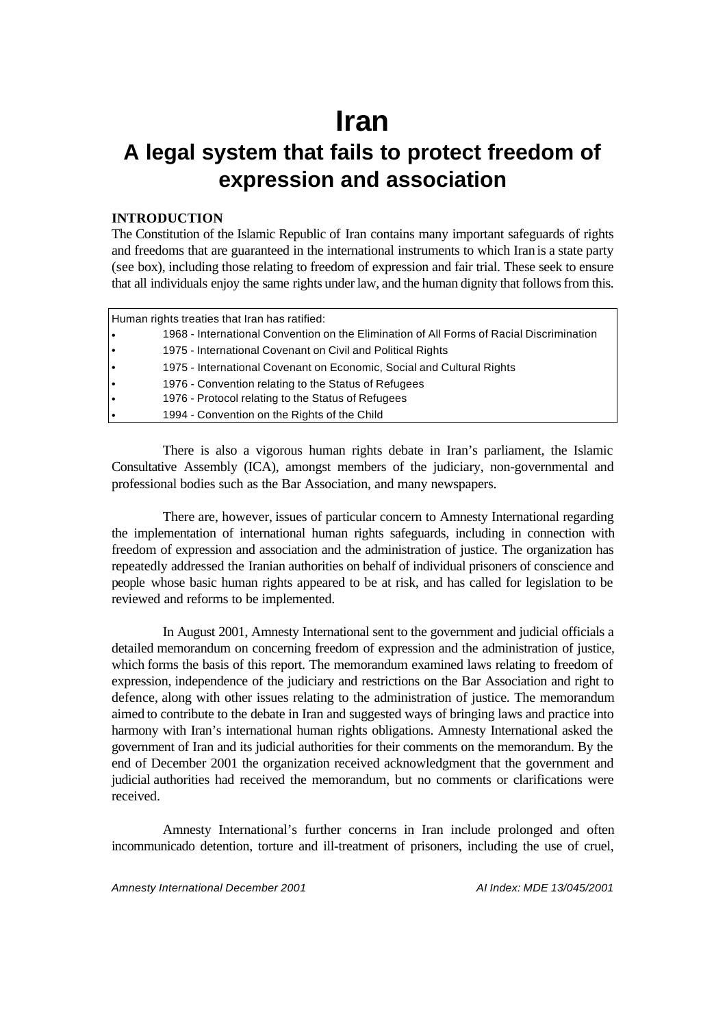# **Iran**

## **A legal system that fails to protect freedom of expression and association**

## **INTRODUCTION**

The Constitution of the Islamic Republic of Iran contains many important safeguards of rights and freedoms that are guaranteed in the international instruments to which Iran is a state party (see box), including those relating to freedom of expression and fair trial. These seek to ensure that all individuals enjoy the same rights under law, and the human dignity that follows from this.

| Human rights treaties that Iran has ratified: |                                                                                          |  |  |  |  |  |
|-----------------------------------------------|------------------------------------------------------------------------------------------|--|--|--|--|--|
| l e                                           | 1968 - International Convention on the Elimination of All Forms of Racial Discrimination |  |  |  |  |  |
| I۰                                            | 1975 - International Covenant on Civil and Political Rights                              |  |  |  |  |  |
| I۰                                            | 1975 - International Covenant on Economic, Social and Cultural Rights                    |  |  |  |  |  |
| I۰                                            | 1976 - Convention relating to the Status of Refugees                                     |  |  |  |  |  |
| I۰                                            | 1976 - Protocol relating to the Status of Refugees                                       |  |  |  |  |  |
| l e                                           | 1994 - Convention on the Rights of the Child                                             |  |  |  |  |  |

There is also a vigorous human rights debate in Iran's parliament, the Islamic Consultative Assembly (ICA), amongst members of the judiciary, non-governmental and professional bodies such as the Bar Association, and many newspapers.

There are, however, issues of particular concern to Amnesty International regarding the implementation of international human rights safeguards, including in connection with freedom of expression and association and the administration of justice. The organization has repeatedly addressed the Iranian authorities on behalf of individual prisoners of conscience and people whose basic human rights appeared to be at risk, and has called for legislation to be reviewed and reforms to be implemented.

In August 2001, Amnesty International sent to the government and judicial officials a detailed memorandum on concerning freedom of expression and the administration of justice, which forms the basis of this report. The memorandum examined laws relating to freedom of expression, independence of the judiciary and restrictions on the Bar Association and right to defence, along with other issues relating to the administration of justice. The memorandum aimed to contribute to the debate in Iran and suggested ways of bringing laws and practice into harmony with Iran's international human rights obligations. Amnesty International asked the government of Iran and its judicial authorities for their comments on the memorandum. By the end of December 2001 the organization received acknowledgment that the government and judicial authorities had received the memorandum, but no comments or clarifications were received.

Amnesty International's further concerns in Iran include prolonged and often incommunicado detention, torture and ill-treatment of prisoners, including the use of cruel,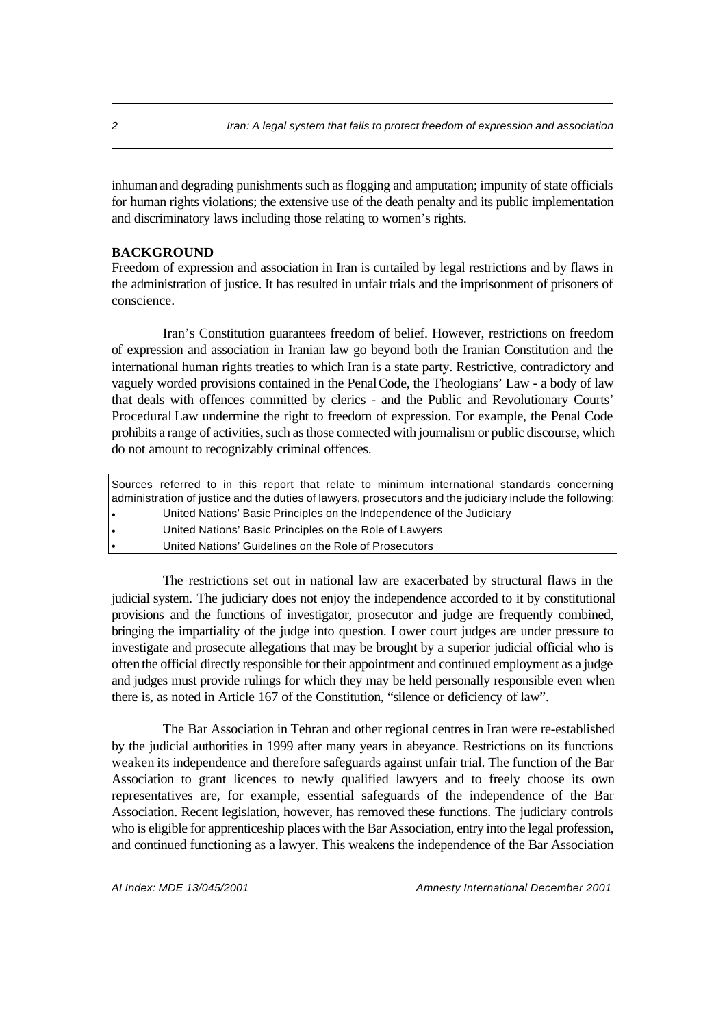inhuman and degrading punishments such as flogging and amputation; impunity of state officials for human rights violations; the extensive use of the death penalty and its public implementation and discriminatory laws including those relating to women's rights.

## **BACKGROUND**

Freedom of expression and association in Iran is curtailed by legal restrictions and by flaws in the administration of justice. It has resulted in unfair trials and the imprisonment of prisoners of conscience.

Iran's Constitution guarantees freedom of belief. However, restrictions on freedom of expression and association in Iranian law go beyond both the Iranian Constitution and the international human rights treaties to which Iran is a state party. Restrictive, contradictory and vaguely worded provisions contained in the Penal Code, the Theologians' Law - a body of law that deals with offences committed by clerics - and the Public and Revolutionary Courts' Procedural Law undermine the right to freedom of expression. For example, the Penal Code prohibits a range of activities, such as those connected with journalism or public discourse, which do not amount to recognizably criminal offences.

|     |  |  |  |                                                         | Sources referred to in this report that relate to minimum international standards concerning              |  |
|-----|--|--|--|---------------------------------------------------------|-----------------------------------------------------------------------------------------------------------|--|
|     |  |  |  |                                                         | administration of justice and the duties of lawyers, prosecutors and the judiciary include the following: |  |
| l e |  |  |  |                                                         | United Nations' Basic Principles on the Independence of the Judiciary                                     |  |
|     |  |  |  | United Nations' Basic Principles on the Role of Lawyers |                                                                                                           |  |
|     |  |  |  | United Nations' Guidelines on the Role of Prosecutors   |                                                                                                           |  |

The restrictions set out in national law are exacerbated by structural flaws in the judicial system. The judiciary does not enjoy the independence accorded to it by constitutional provisions and the functions of investigator, prosecutor and judge are frequently combined, bringing the impartiality of the judge into question. Lower court judges are under pressure to investigate and prosecute allegations that may be brought by a superior judicial official who is often the official directly responsible for their appointment and continued employment as a judge and judges must provide rulings for which they may be held personally responsible even when there is, as noted in Article 167 of the Constitution, "silence or deficiency of law".

The Bar Association in Tehran and other regional centres in Iran were re-established by the judicial authorities in 1999 after many years in abeyance. Restrictions on its functions weaken its independence and therefore safeguards against unfair trial. The function of the Bar Association to grant licences to newly qualified lawyers and to freely choose its own representatives are, for example, essential safeguards of the independence of the Bar Association. Recent legislation, however, has removed these functions. The judiciary controls who is eligible for apprenticeship places with the Bar Association, entry into the legal profession, and continued functioning as a lawyer. This weakens the independence of the Bar Association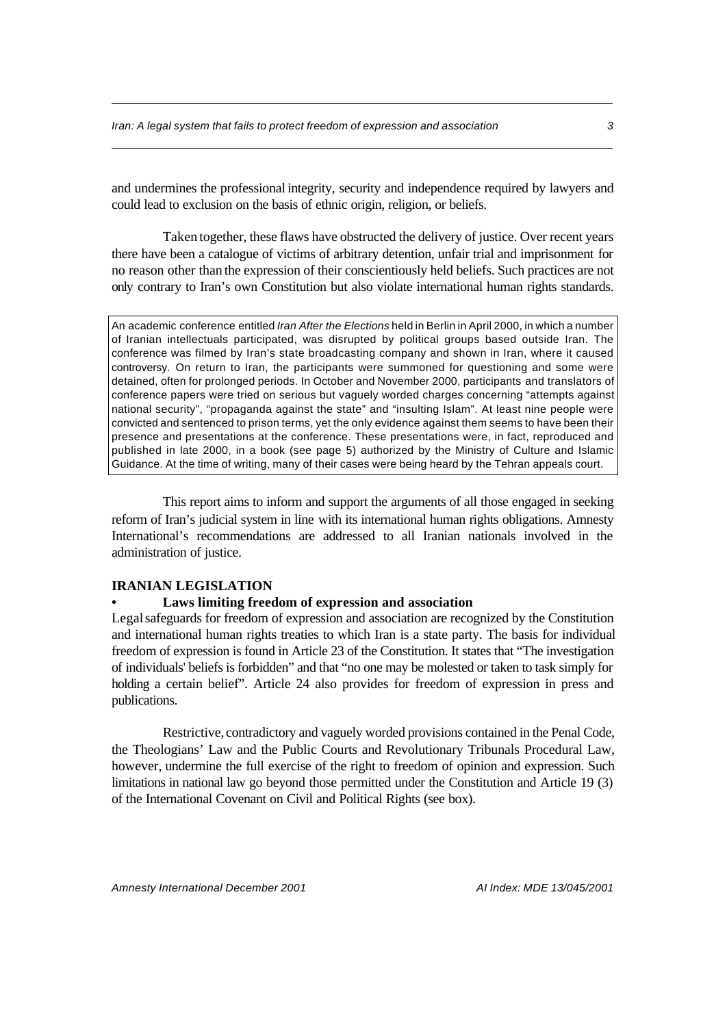and undermines the professional integrity, security and independence required by lawyers and could lead to exclusion on the basis of ethnic origin, religion, or beliefs.

Taken together, these flaws have obstructed the delivery of justice. Over recent years there have been a catalogue of victims of arbitrary detention, unfair trial and imprisonment for no reason other than the expression of their conscientiously held beliefs. Such practices are not only contrary to Iran's own Constitution but also violate international human rights standards.

An academic conference entitled *Iran After the Elections* held in Berlin in April 2000, in which a number of Iranian intellectuals participated, was disrupted by political groups based outside Iran. The conference was filmed by Iran's state broadcasting company and shown in Iran, where it caused controversy. On return to Iran, the participants were summoned for questioning and some were detained, often for prolonged periods. In October and November 2000, participants and translators of conference papers were tried on serious but vaguely worded charges concerning "attempts against national security", "propaganda against the state" and "insulting Islam". At least nine people were convicted and sentenced to prison terms, yet the only evidence against them seems to have been their presence and presentations at the conference. These presentations were, in fact, reproduced and published in late 2000, in a book (see page 5) authorized by the Ministry of Culture and Islamic Guidance. At the time of writing, many of their cases were being heard by the Tehran appeals court.

This report aims to inform and support the arguments of all those engaged in seeking reform of Iran's judicial system in line with its international human rights obligations. Amnesty International's recommendations are addressed to all Iranian nationals involved in the administration of justice.

## **IRANIAN LEGISLATION**

#### **• Laws limiting freedom of expression and association**

Legal safeguards for freedom of expression and association are recognized by the Constitution and international human rights treaties to which Iran is a state party. The basis for individual freedom of expression is found in Article 23 of the Constitution. It states that "The investigation of individuals' beliefs is forbidden" and that "no one may be molested or taken to task simply for holding a certain belief". Article 24 also provides for freedom of expression in press and publications.

Restrictive, contradictory and vaguely worded provisions contained in the Penal Code, the Theologians' Law and the Public Courts and Revolutionary Tribunals Procedural Law, however, undermine the full exercise of the right to freedom of opinion and expression. Such limitations in national law go beyond those permitted under the Constitution and Article 19 (3) of the International Covenant on Civil and Political Rights (see box).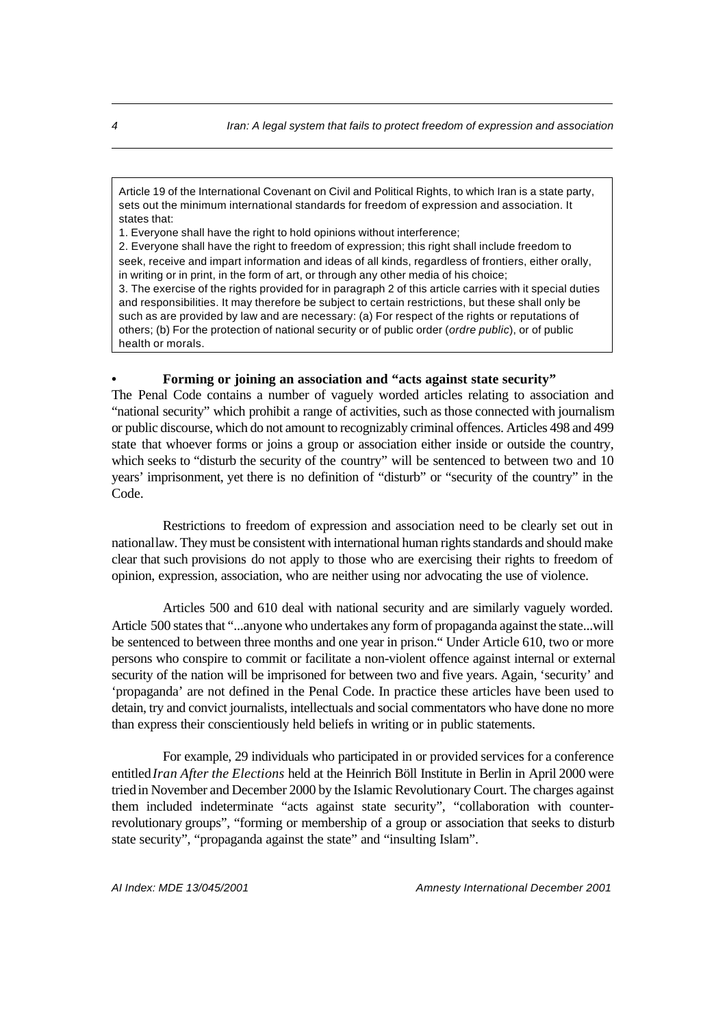Article 19 of the International Covenant on Civil and Political Rights, to which Iran is a state party, sets out the minimum international standards for freedom of expression and association. It states that:

1. Everyone shall have the right to hold opinions without interference;

2. Everyone shall have the right to freedom of expression; this right shall include freedom to seek, receive and impart information and ideas of all kinds, regardless of frontiers, either orally, in writing or in print, in the form of art, or through any other media of his choice;

3. The exercise of the rights provided for in paragraph 2 of this article carries with it special duties and responsibilities. It may therefore be subject to certain restrictions, but these shall only be such as are provided by law and are necessary: (a) For respect of the rights or reputations of others; (b) For the protection of national security or of public order (*ordre public*), or of public health or morals.

## **• Forming or joining an association and "acts against state security"**

The Penal Code contains a number of vaguely worded articles relating to association and "national security" which prohibit a range of activities, such as those connected with journalism or public discourse, which do not amount to recognizably criminal offences. Articles 498 and 499 state that whoever forms or joins a group or association either inside or outside the country, which seeks to "disturb the security of the country" will be sentenced to between two and 10 years' imprisonment, yet there is no definition of "disturb" or "security of the country" in the Code.

Restrictions to freedom of expression and association need to be clearly set out in national law. They must be consistent with international human rights standards and should make clear that such provisions do not apply to those who are exercising their rights to freedom of opinion, expression, association, who are neither using nor advocating the use of violence.

Articles 500 and 610 deal with national security and are similarly vaguely worded. Article 500 states that "...anyone who undertakes any form of propaganda against the state...will be sentenced to between three months and one year in prison." Under Article 610, two or more persons who conspire to commit or facilitate a non-violent offence against internal or external security of the nation will be imprisoned for between two and five years. Again, 'security' and 'propaganda' are not defined in the Penal Code. In practice these articles have been used to detain, try and convict journalists, intellectuals and social commentators who have done no more than express their conscientiously held beliefs in writing or in public statements.

For example, 29 individuals who participated in or provided services for a conference entitled*Iran After the Elections* held at the Heinrich Böll Institute in Berlin in April 2000 were tried in November and December 2000 by the Islamic Revolutionary Court. The charges against them included indeterminate "acts against state security", "collaboration with counterrevolutionary groups", "forming or membership of a group or association that seeks to disturb state security", "propaganda against the state" and "insulting Islam".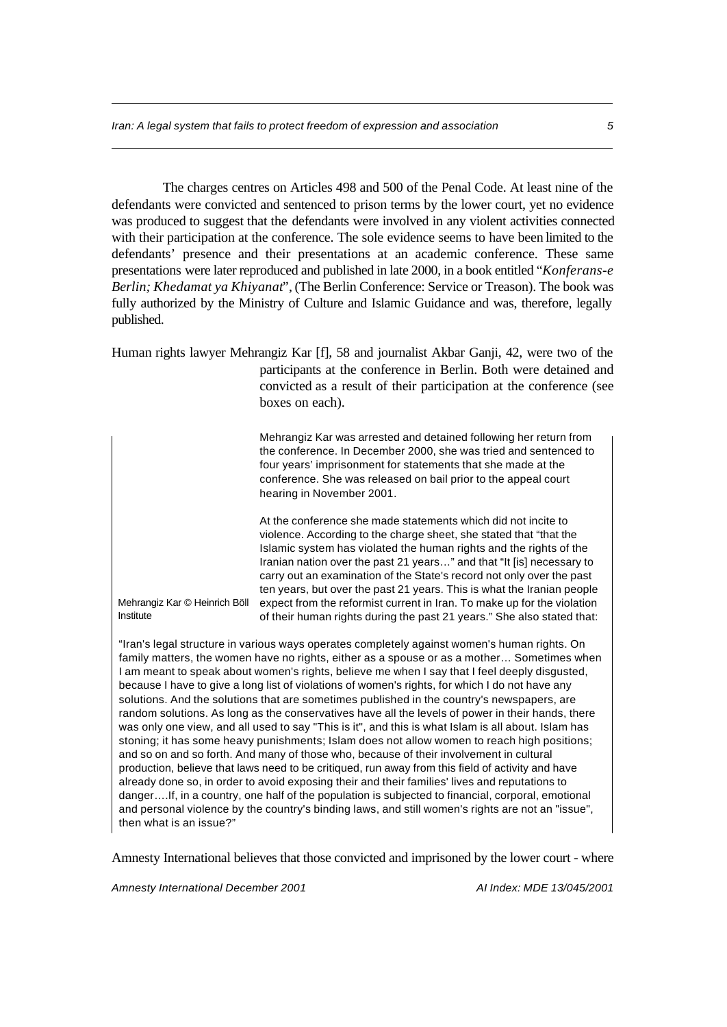The charges centres on Articles 498 and 500 of the Penal Code. At least nine of the defendants were convicted and sentenced to prison terms by the lower court, yet no evidence was produced to suggest that the defendants were involved in any violent activities connected with their participation at the conference. The sole evidence seems to have been limited to the defendants' presence and their presentations at an academic conference. These same presentations were later reproduced and published in late 2000, in a book entitled "*Konferans-e Berlin; Khedamat ya Khiyanat*", (The Berlin Conference: Service or Treason). The book was fully authorized by the Ministry of Culture and Islamic Guidance and was, therefore, legally published.

Human rights lawyer Mehrangiz Kar [f], 58 and journalist Akbar Ganji, 42, were two of the participants at the conference in Berlin. Both were detained and convicted as a result of their participation at the conference (see boxes on each).

> Mehrangiz Kar was arrested and detained following her return from the conference. In December 2000, she was tried and sentenced to four years' imprisonment for statements that she made at the conference. She was released on bail prior to the appeal court hearing in November 2001.

> At the conference she made statements which did not incite to violence. According to the charge sheet, she stated that "that the Islamic system has violated the human rights and the rights of the Iranian nation over the past 21 years…" and that "It [is] necessary to carry out an examination of the State's record not only over the past ten years, but over the past 21 years. This is what the Iranian people expect from the reformist current in Iran. To make up for the violation of their human rights during the past 21 years." She also stated that:

Mehrangiz Kar © Heinrich Böll Institute

"Iran's legal structure in various ways operates completely against women's human rights. On family matters, the women have no rights, either as a spouse or as a mother... Sometimes when I am meant to speak about women's rights, believe me when I say that I feel deeply disgusted, because I have to give a long list of violations of women's rights, for which I do not have any solutions. And the solutions that are sometimes published in the country's newspapers, are random solutions. As long as the conservatives have all the levels of power in their hands, there was only one view, and all used to say "This is it", and this is what Islam is all about. Islam has stoning; it has some heavy punishments; Islam does not allow women to reach high positions; and so on and so forth. And many of those who, because of their involvement in cultural production, believe that laws need to be critiqued, run away from this field of activity and have already done so, in order to avoid exposing their and their families' lives and reputations to danger….If, in a country, one half of the population is subjected to financial, corporal, emotional and personal violence by the country's binding laws, and still women's rights are not an "issue", then what is an issue?"

Amnesty International believes that those convicted and imprisoned by the lower court - where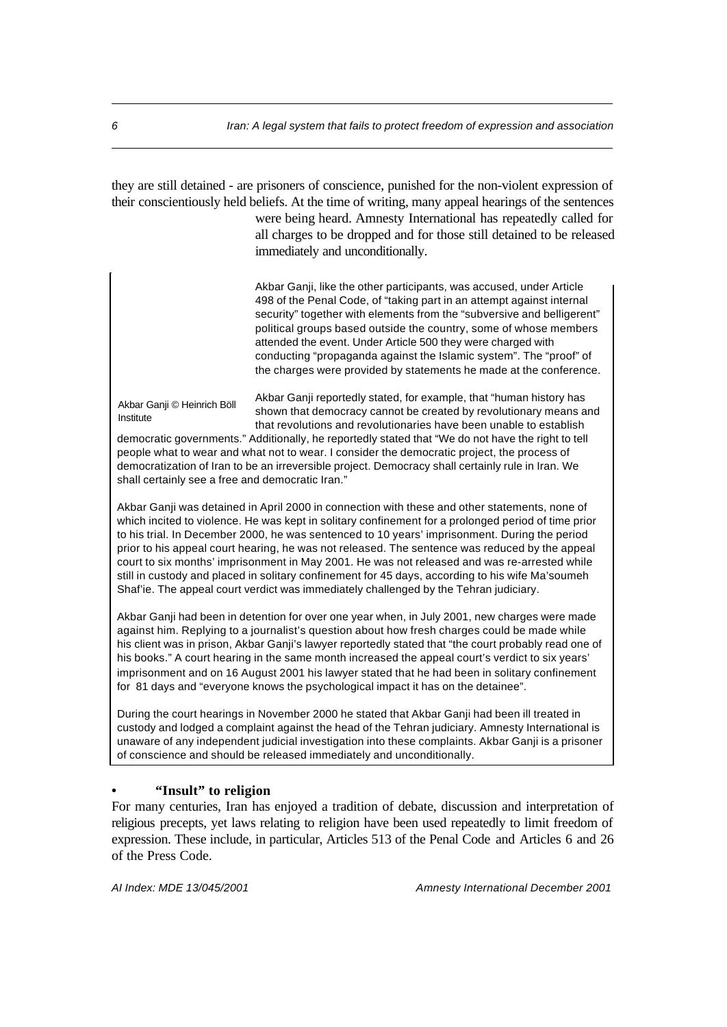they are still detained - are prisoners of conscience, punished for the non-violent expression of their conscientiously held beliefs. At the time of writing, many appeal hearings of the sentences were being heard. Amnesty International has repeatedly called for all charges to be dropped and for those still detained to be released immediately and unconditionally.

> Akbar Ganji, like the other participants, was accused, under Article 498 of the Penal Code, of "taking part in an attempt against internal security" together with elements from the "subversive and belligerent" political groups based outside the country, some of whose members attended the event. Under Article 500 they were charged with conducting "propaganda against the Islamic system". The "proof" of the charges were provided by statements he made at the conference.

Akbar Ganji © Heinrich Böll Institute

Akbar Ganji reportedly stated, for example, that "human history has shown that democracy cannot be created by revolutionary means and that revolutions and revolutionaries have been unable to establish

democratic governments." Additionally, he reportedly stated that "We do not have the right to tell people what to wear and what not to wear. I consider the democratic project, the process of democratization of Iran to be an irreversible project. Democracy shall certainly rule in Iran. We shall certainly see a free and democratic Iran."

Akbar Ganji was detained in April 2000 in connection with these and other statements, none of which incited to violence. He was kept in solitary confinement for a prolonged period of time prior to his trial. In December 2000, he was sentenced to 10 years' imprisonment. During the period prior to his appeal court hearing, he was not released. The sentence was reduced by the appeal court to six months' imprisonment in May 2001. He was not released and was re-arrested while still in custody and placed in solitary confinement for 45 days, according to his wife Ma'soumeh Shaf'ie. The appeal court verdict was immediately challenged by the Tehran judiciary.

Akbar Ganji had been in detention for over one year when, in July 2001, new charges were made against him. Replying to a journalist's question about how fresh charges could be made while his client was in prison, Akbar Ganji's lawyer reportedly stated that "the court probably read one of his books." A court hearing in the same month increased the appeal court's verdict to six years' imprisonment and on 16 August 2001 his lawyer stated that he had been in solitary confinement for 81 days and "everyone knows the psychological impact it has on the detainee".

During the court hearings in November 2000 he stated that Akbar Ganji had been ill treated in custody and lodged a complaint against the head of the Tehran judiciary. Amnesty International is unaware of any independent judicial investigation into these complaints. Akbar Ganji is a prisoner of conscience and should be released immediately and unconditionally.

#### **• "Insult" to religion**

For many centuries, Iran has enjoyed a tradition of debate, discussion and interpretation of religious precepts, yet laws relating to religion have been used repeatedly to limit freedom of expression. These include, in particular, Articles 513 of the Penal Code and Articles 6 and 26 of the Press Code.

*AI Index: MDE 13/045/2001 Amnesty International December 2001*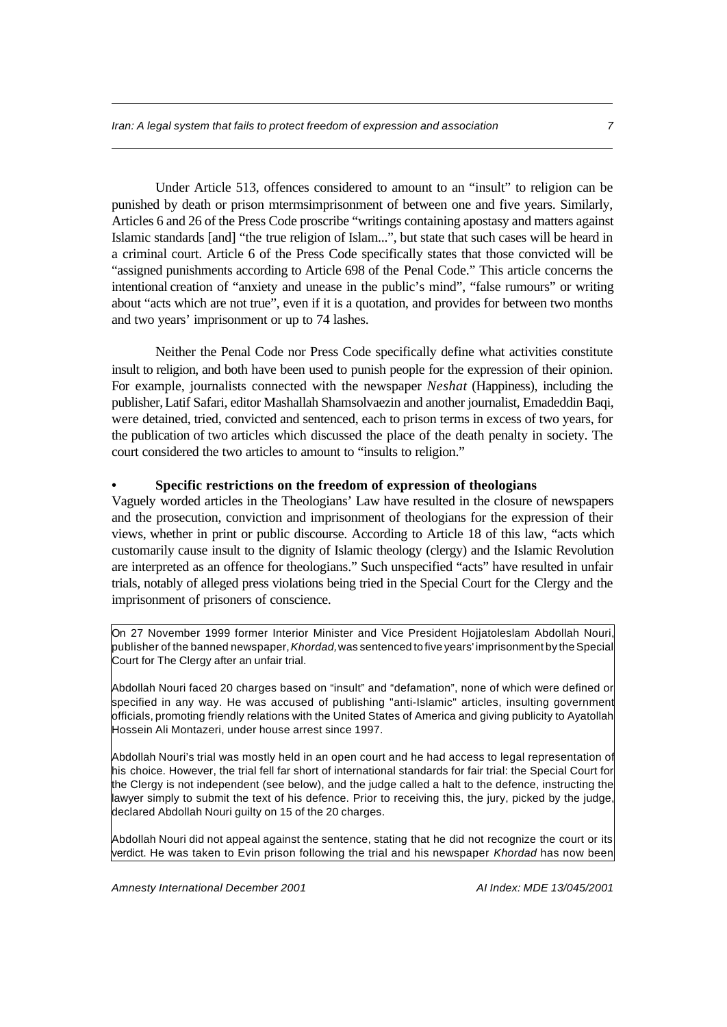Under Article 513, offences considered to amount to an "insult" to religion can be punished by death or prison mtermsimprisonment of between one and five years. Similarly, Articles 6 and 26 of the Press Code proscribe "writings containing apostasy and matters against Islamic standards [and] "the true religion of Islam...", but state that such cases will be heard in a criminal court. Article 6 of the Press Code specifically states that those convicted will be "assigned punishments according to Article 698 of the Penal Code." This article concerns the intentional creation of "anxiety and unease in the public's mind", "false rumours" or writing about "acts which are not true", even if it is a quotation, and provides for between two months and two years' imprisonment or up to 74 lashes.

Neither the Penal Code nor Press Code specifically define what activities constitute insult to religion, and both have been used to punish people for the expression of their opinion. For example, journalists connected with the newspaper *Neshat* (Happiness), including the publisher, Latif Safari, editor Mashallah Shamsolvaezin and another journalist, Emadeddin Baqi, were detained, tried, convicted and sentenced, each to prison terms in excess of two years, for the publication of two articles which discussed the place of the death penalty in society. The court considered the two articles to amount to "insults to religion."

## **• Specific restrictions on the freedom of expression of theologians**

Vaguely worded articles in the Theologians' Law have resulted in the closure of newspapers and the prosecution, conviction and imprisonment of theologians for the expression of their views, whether in print or public discourse. According to Article 18 of this law, "acts which customarily cause insult to the dignity of Islamic theology (clergy) and the Islamic Revolution are interpreted as an offence for theologians." Such unspecified "acts" have resulted in unfair trials, notably of alleged press violations being tried in the Special Court for the Clergy and the imprisonment of prisoners of conscience.

On 27 November 1999 former Interior Minister and Vice President Hojjatoleslam Abdollah Nouri, publisher of the banned newspaper, *Khordad,* was sentenced to five years' imprisonment by the Special Court for The Clergy after an unfair trial.

Abdollah Nouri faced 20 charges based on "insult" and "defamation", none of which were defined or specified in any way. He was accused of publishing "anti-Islamic" articles, insulting government officials, promoting friendly relations with the United States of America and giving publicity to Ayatollah Hossein Ali Montazeri, under house arrest since 1997.

Abdollah Nouri's trial was mostly held in an open court and he had access to legal representation of his choice. However, the trial fell far short of international standards for fair trial: the Special Court for the Clergy is not independent (see below), and the judge called a halt to the defence, instructing the lawyer simply to submit the text of his defence. Prior to receiving this, the jury, picked by the judge, declared Abdollah Nouri guilty on 15 of the 20 charges.

Abdollah Nouri did not appeal against the sentence, stating that he did not recognize the court or its verdict. He was taken to Evin prison following the trial and his newspaper *Khordad* has now been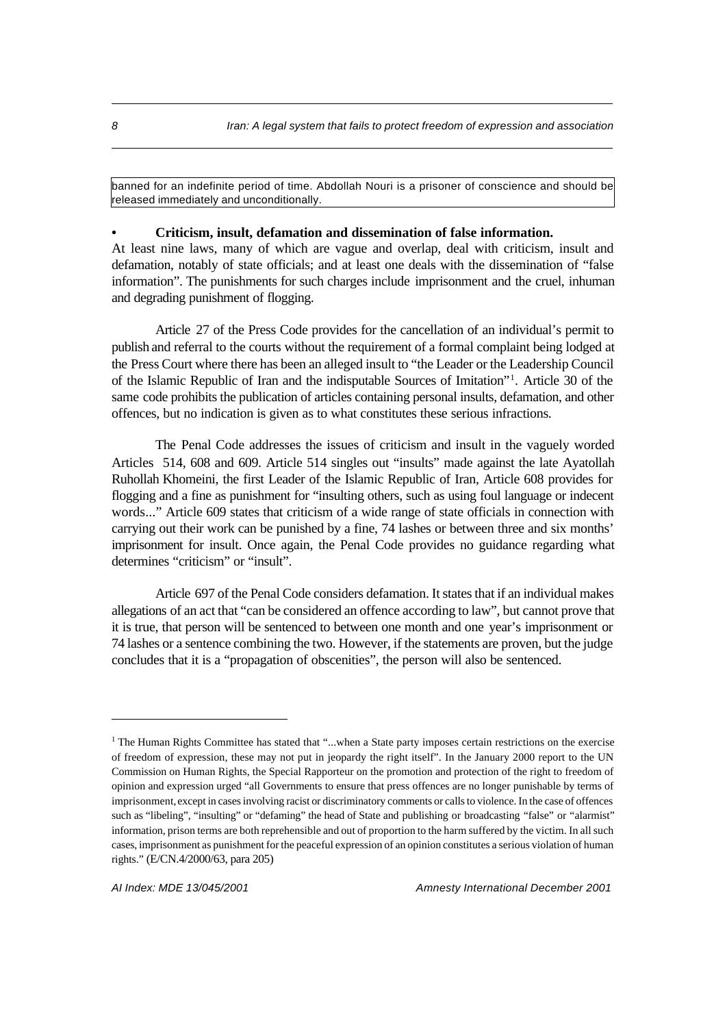banned for an indefinite period of time. Abdollah Nouri is a prisoner of conscience and should be released immediately and unconditionally.

## **• Criticism, insult, defamation and dissemination of false information.**

At least nine laws, many of which are vague and overlap, deal with criticism, insult and defamation, notably of state officials; and at least one deals with the dissemination of "false information". The punishments for such charges include imprisonment and the cruel, inhuman and degrading punishment of flogging.

Article 27 of the Press Code provides for the cancellation of an individual's permit to publish and referral to the courts without the requirement of a formal complaint being lodged at the Press Court where there has been an alleged insult to "the Leader or the Leadership Council of the Islamic Republic of Iran and the indisputable Sources of Imitation"<sup>1</sup> . Article 30 of the same code prohibits the publication of articles containing personal insults, defamation, and other offences, but no indication is given as to what constitutes these serious infractions.

The Penal Code addresses the issues of criticism and insult in the vaguely worded Articles 514, 608 and 609. Article 514 singles out "insults" made against the late Ayatollah Ruhollah Khomeini, the first Leader of the Islamic Republic of Iran, Article 608 provides for flogging and a fine as punishment for "insulting others, such as using foul language or indecent words..." Article 609 states that criticism of a wide range of state officials in connection with carrying out their work can be punished by a fine, 74 lashes or between three and six months' imprisonment for insult. Once again, the Penal Code provides no guidance regarding what determines "criticism" or "insult".

Article 697 of the Penal Code considers defamation. It states that if an individual makes allegations of an act that "can be considered an offence according to law", but cannot prove that it is true, that person will be sentenced to between one month and one year's imprisonment or 74 lashes or a sentence combining the two. However, if the statements are proven, but the judge concludes that it is a "propagation of obscenities", the person will also be sentenced.

 $1$  The Human Rights Committee has stated that "...when a State party imposes certain restrictions on the exercise of freedom of expression, these may not put in jeopardy the right itself". In the January 2000 report to the UN Commission on Human Rights, the Special Rapporteur on the promotion and protection of the right to freedom of opinion and expression urged "all Governments to ensure that press offences are no longer punishable by terms of imprisonment, except in cases involving racist or discriminatory comments or calls to violence. In the case of offences such as "libeling", "insulting" or "defaming" the head of State and publishing or broadcasting "false" or "alarmist" information, prison terms are both reprehensible and out of proportion to the harm suffered by the victim. In all such cases, imprisonment as punishment for the peaceful expression of an opinion constitutes a serious violation of human rights." (E/CN.4/2000/63, para 205)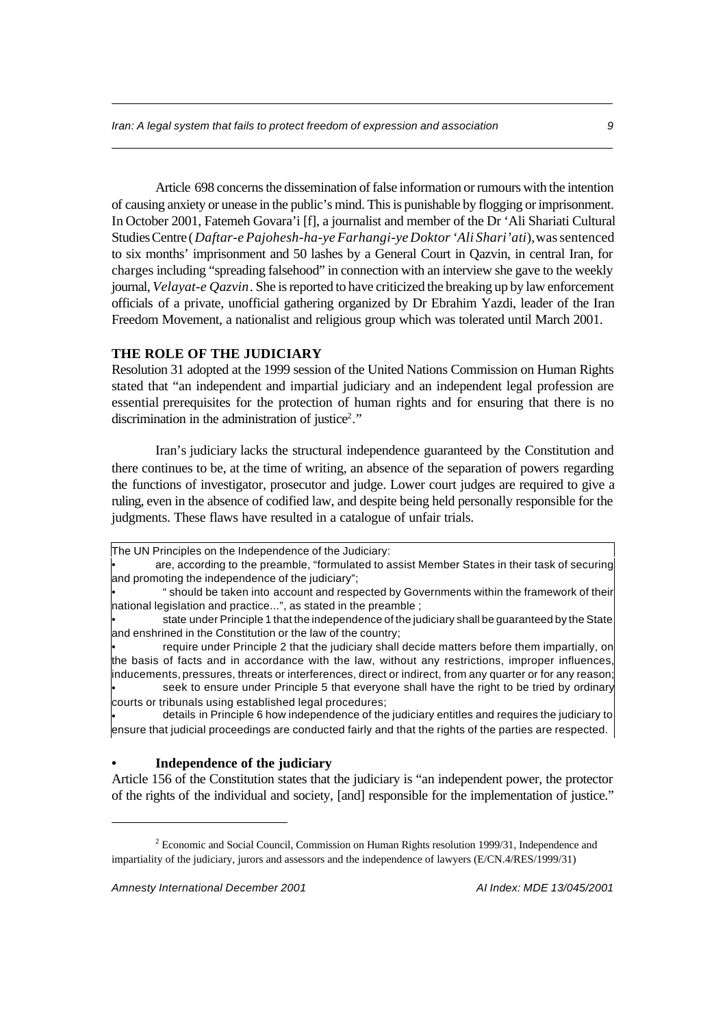Article 698 concerns the dissemination of false information or rumours with the intention of causing anxiety or unease in the public's mind. This is punishable by flogging or imprisonment. In October 2001, Fatemeh Govara'i [f], a journalist and member of the Dr 'Ali Shariati Cultural Studies Centre (*Daftar-e Pajohesh-ha-ye Farhangi-ye Doktor 'Ali Shari'ati*), was sentenced to six months' imprisonment and 50 lashes by a General Court in Qazvin, in central Iran, for charges including "spreading falsehood" in connection with an interview she gave to the weekly journal, *Velayat-e Qazvin*. She is reported to have criticized the breaking up by law enforcement officials of a private, unofficial gathering organized by Dr Ebrahim Yazdi, leader of the Iran Freedom Movement, a nationalist and religious group which was tolerated until March 2001.

## **THE ROLE OF THE JUDICIARY**

Resolution 31 adopted at the 1999 session of the United Nations Commission on Human Rights stated that "an independent and impartial judiciary and an independent legal profession are essential prerequisites for the protection of human rights and for ensuring that there is no discrimination in the administration of justice<sup>2</sup>."

Iran's judiciary lacks the structural independence guaranteed by the Constitution and there continues to be, at the time of writing, an absence of the separation of powers regarding the functions of investigator, prosecutor and judge. Lower court judges are required to give a ruling, even in the absence of codified law, and despite being held personally responsible for the judgments. These flaws have resulted in a catalogue of unfair trials.

• are, according to the preamble, "formulated to assist Member States in their task of securing and promoting the independence of the judiciary";

• " should be taken into account and respected by Governments within the framework of their national legislation and practice...", as stated in the preamble ;

• state under Principle 1 that the independence of the judiciary shall be guaranteed by the State and enshrined in the Constitution or the law of the country;

• require under Principle 2 that the judiciary shall decide matters before them impartially, on the basis of facts and in accordance with the law, without any restrictions, improper influences, inducements, pressures, threats or interferences, direct or indirect, from any quarter or for any reason; • seek to ensure under Principle 5 that everyone shall have the right to be tried by ordinary

courts or tribunals using established legal procedures;

• details in Principle 6 how independence of the judiciary entitles and requires the judiciary to ensure that judicial proceedings are conducted fairly and that the rights of the parties are respected.

## **• Independence of the judiciary**

Article 156 of the Constitution states that the judiciary is "an independent power, the protector of the rights of the individual and society, [and] responsible for the implementation of justice."

The UN Principles on the Independence of the Judiciary:

<sup>2</sup> Economic and Social Council, Commission on Human Rights resolution 1999/31, Independence and impartiality of the judiciary, jurors and assessors and the independence of lawyers (E/CN.4/RES/1999/31)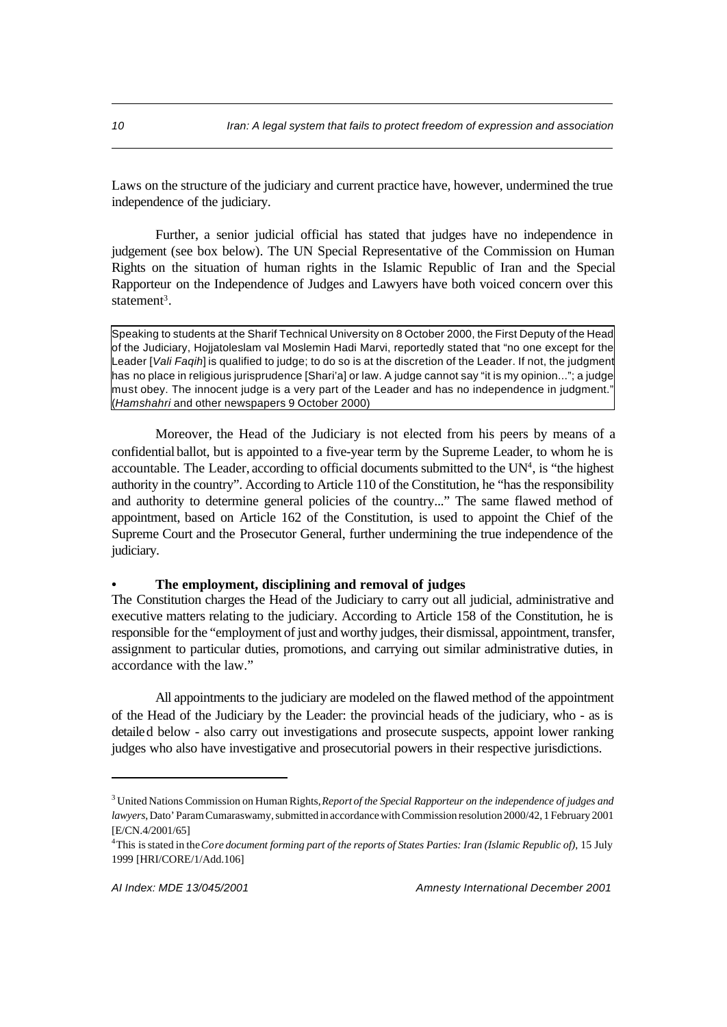Laws on the structure of the judiciary and current practice have, however, undermined the true independence of the judiciary.

Further, a senior judicial official has stated that judges have no independence in judgement (see box below). The UN Special Representative of the Commission on Human Rights on the situation of human rights in the Islamic Republic of Iran and the Special Rapporteur on the Independence of Judges and Lawyers have both voiced concern over this statement<sup>3</sup>.

Speaking to students at the Sharif Technical University on 8 October 2000, the First Deputy of the Head of the Judiciary, Hojjatoleslam val Moslemin Hadi Marvi, reportedly stated that "no one except for the Leader [*Vali Faqih*] is qualified to judge; to do so is at the discretion of the Leader. If not, the judgment has no place in religious jurisprudence [Shari'a] or law. A judge cannot say "it is my opinion..."; a judge must obey. The innocent judge is a very part of the Leader and has no independence in judgment." (*Hamshahri* and other newspapers 9 October 2000)

Moreover, the Head of the Judiciary is not elected from his peers by means of a confidential ballot, but is appointed to a five-year term by the Supreme Leader, to whom he is accountable. The Leader, according to official documents submitted to the UN<sup>4</sup>, is "the highest authority in the country". According to Article 110 of the Constitution, he "has the responsibility and authority to determine general policies of the country..." The same flawed method of appointment, based on Article 162 of the Constitution, is used to appoint the Chief of the Supreme Court and the Prosecutor General, further undermining the true independence of the judiciary.

## **• The employment, disciplining and removal of judges**

The Constitution charges the Head of the Judiciary to carry out all judicial, administrative and executive matters relating to the judiciary. According to Article 158 of the Constitution, he is responsible for the "employment of just and worthy judges, their dismissal, appointment, transfer, assignment to particular duties, promotions, and carrying out similar administrative duties, in accordance with the law."

All appointments to the judiciary are modeled on the flawed method of the appointment of the Head of the Judiciary by the Leader: the provincial heads of the judiciary, who - as is detailed below - also carry out investigations and prosecute suspects, appoint lower ranking judges who also have investigative and prosecutorial powers in their respective jurisdictions.

<sup>3</sup> United Nations Commission on Human Rights, *Report of the Special Rapporteur on the independence of judges and lawyers*, Dato' Param Cumaraswamy, submitted in accordance with Commission resolution 2000/42, 1 February 2001 [E/CN.4/2001/65]

<sup>4</sup>This is stated in the *Core document forming part of the reports of States Parties: Iran (Islamic Republic of)*, 15 July 1999 [HRI/CORE/1/Add.106]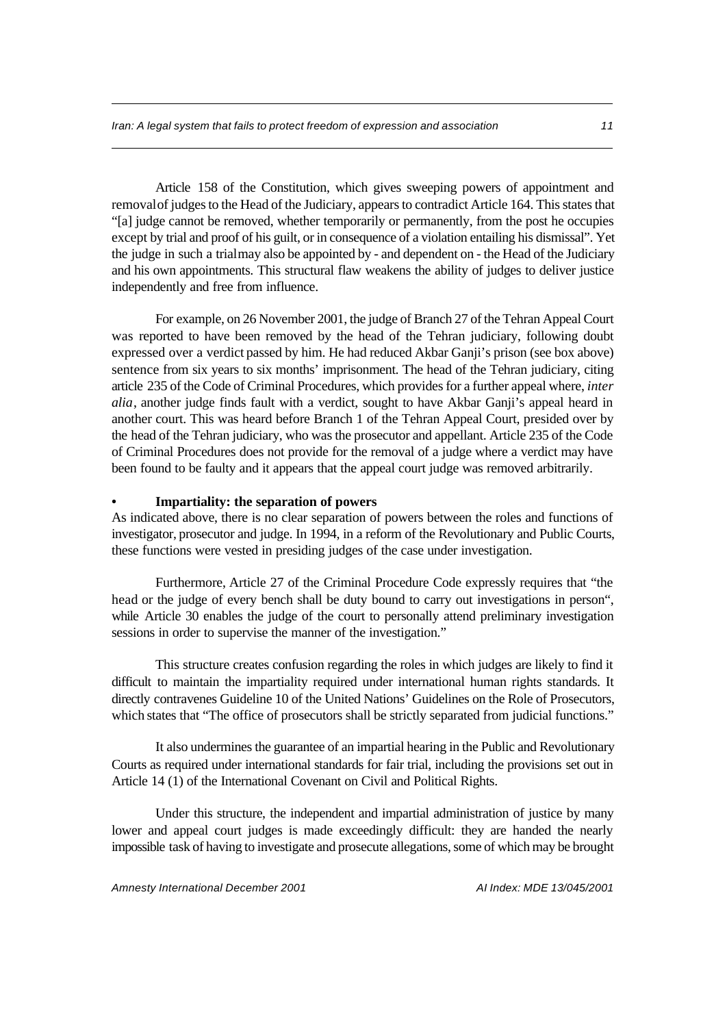Article 158 of the Constitution, which gives sweeping powers of appointment and removal of judges to the Head of the Judiciary, appears to contradict Article 164. This states that "[a] judge cannot be removed, whether temporarily or permanently, from the post he occupies except by trial and proof of his guilt, or in consequence of a violation entailing his dismissal". Yet the judge in such a trial may also be appointed by - and dependent on - the Head of the Judiciary and his own appointments. This structural flaw weakens the ability of judges to deliver justice independently and free from influence.

For example, on 26 November 2001, the judge of Branch 27 of the Tehran Appeal Court was reported to have been removed by the head of the Tehran judiciary, following doubt expressed over a verdict passed by him. He had reduced Akbar Ganji's prison (see box above) sentence from six years to six months' imprisonment. The head of the Tehran judiciary, citing article 235 of the Code of Criminal Procedures, which provides for a further appeal where, *inter alia*, another judge finds fault with a verdict, sought to have Akbar Ganji's appeal heard in another court. This was heard before Branch 1 of the Tehran Appeal Court, presided over by the head of the Tehran judiciary, who was the prosecutor and appellant. Article 235 of the Code of Criminal Procedures does not provide for the removal of a judge where a verdict may have been found to be faulty and it appears that the appeal court judge was removed arbitrarily.

## **• Impartiality: the separation of powers**

As indicated above, there is no clear separation of powers between the roles and functions of investigator, prosecutor and judge. In 1994, in a reform of the Revolutionary and Public Courts, these functions were vested in presiding judges of the case under investigation.

Furthermore, Article 27 of the Criminal Procedure Code expressly requires that "the head or the judge of every bench shall be duty bound to carry out investigations in person", while Article 30 enables the judge of the court to personally attend preliminary investigation sessions in order to supervise the manner of the investigation."

This structure creates confusion regarding the roles in which judges are likely to find it difficult to maintain the impartiality required under international human rights standards. It directly contravenes Guideline 10 of the United Nations' Guidelines on the Role of Prosecutors, which states that "The office of prosecutors shall be strictly separated from judicial functions."

It also undermines the guarantee of an impartial hearing in the Public and Revolutionary Courts as required under international standards for fair trial, including the provisions set out in Article 14 (1) of the International Covenant on Civil and Political Rights.

Under this structure, the independent and impartial administration of justice by many lower and appeal court judges is made exceedingly difficult: they are handed the nearly impossible task of having to investigate and prosecute allegations, some of which may be brought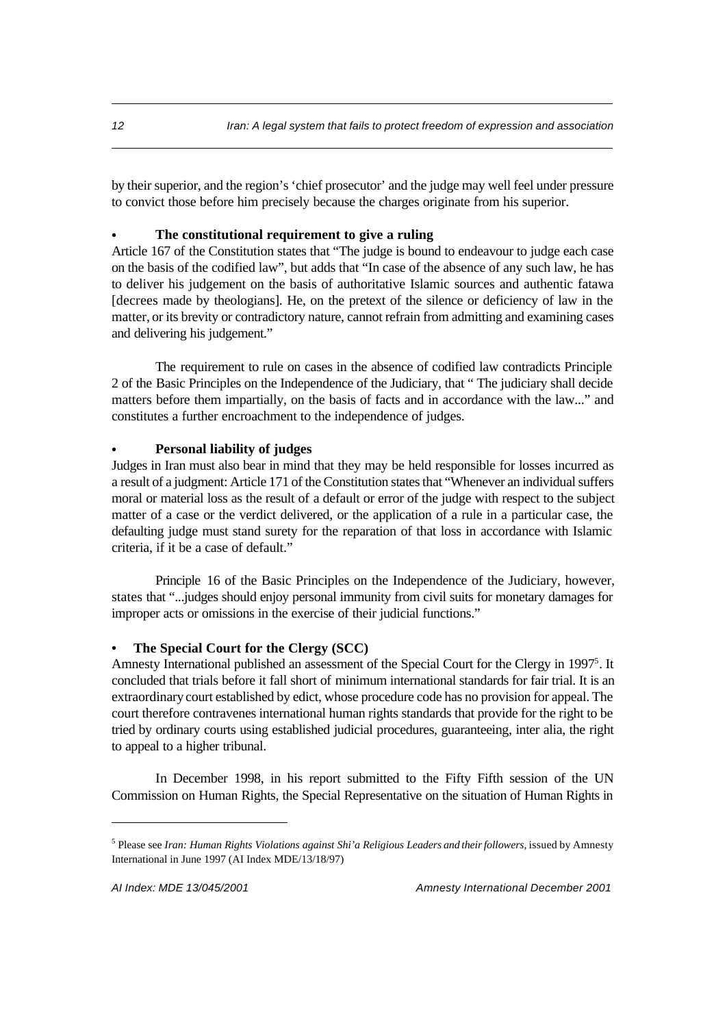by their superior, and the region's 'chief prosecutor' and the judge may well feel under pressure to convict those before him precisely because the charges originate from his superior.

### **• The constitutional requirement to give a ruling**

Article 167 of the Constitution states that "The judge is bound to endeavour to judge each case on the basis of the codified law", but adds that "In case of the absence of any such law, he has to deliver his judgement on the basis of authoritative Islamic sources and authentic fatawa [decrees made by theologians]. He, on the pretext of the silence or deficiency of law in the matter, or its brevity or contradictory nature, cannot refrain from admitting and examining cases and delivering his judgement."

The requirement to rule on cases in the absence of codified law contradicts Principle 2 of the Basic Principles on the Independence of the Judiciary, that " The judiciary shall decide matters before them impartially, on the basis of facts and in accordance with the law..." and constitutes a further encroachment to the independence of judges.

#### **• Personal liability of judges**

Judges in Iran must also bear in mind that they may be held responsible for losses incurred as a result of a judgment: Article 171 of the Constitution states that "Whenever an individual suffers moral or material loss as the result of a default or error of the judge with respect to the subject matter of a case or the verdict delivered, or the application of a rule in a particular case, the defaulting judge must stand surety for the reparation of that loss in accordance with Islamic criteria, if it be a case of default."

Principle 16 of the Basic Principles on the Independence of the Judiciary, however, states that "...judges should enjoy personal immunity from civil suits for monetary damages for improper acts or omissions in the exercise of their judicial functions."

## **• The Special Court for the Clergy (SCC)**

Amnesty International published an assessment of the Special Court for the Clergy in 1997<sup>5</sup>. It concluded that trials before it fall short of minimum international standards for fair trial. It is an extraordinary court established by edict, whose procedure code has no provision for appeal. The court therefore contravenes international human rights standards that provide for the right to be tried by ordinary courts using established judicial procedures, guaranteeing, inter alia, the right to appeal to a higher tribunal.

In December 1998, in his report submitted to the Fifty Fifth session of the UN Commission on Human Rights, the Special Representative on the situation of Human Rights in

<sup>&</sup>lt;sup>5</sup> Please see *Iran: Human Rights Violations against Shi'a Religious Leaders and their followers*, issued by Amnesty International in June 1997 (AI Index MDE/13/18/97)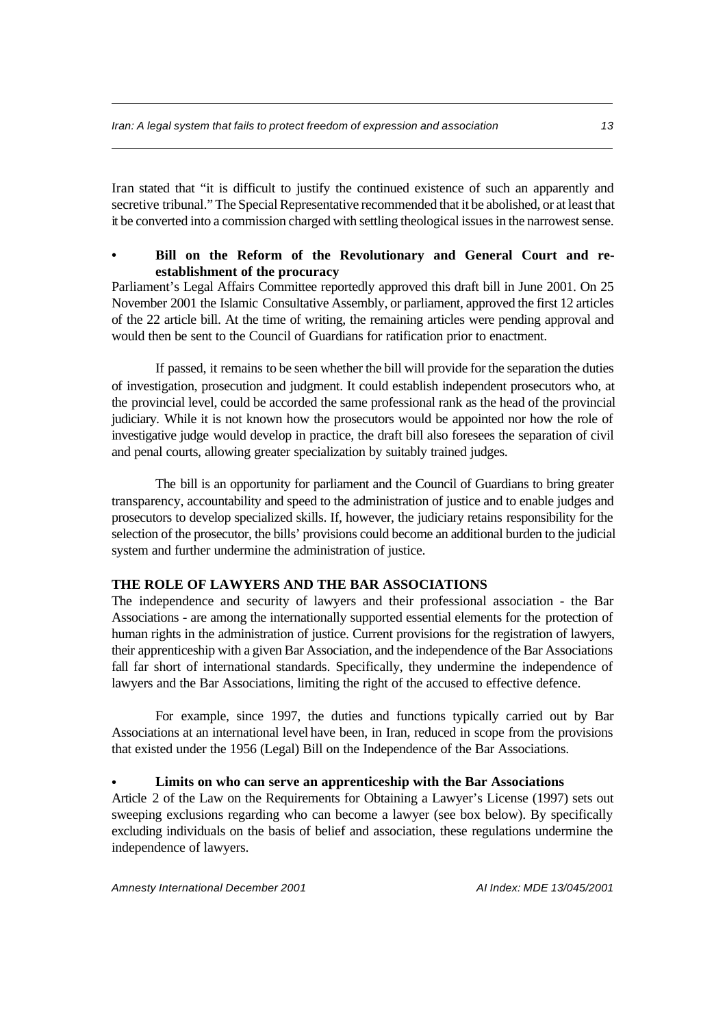Iran stated that "it is difficult to justify the continued existence of such an apparently and secretive tribunal." The Special Representative recommended that it be abolished, or at least that it be converted into a commission charged with settling theological issues in the narrowest sense.

## **• Bill on the Reform of the Revolutionary and General Court and reestablishment of the procuracy**

Parliament's Legal Affairs Committee reportedly approved this draft bill in June 2001. On 25 November 2001 the Islamic Consultative Assembly, or parliament, approved the first 12 articles of the 22 article bill. At the time of writing, the remaining articles were pending approval and would then be sent to the Council of Guardians for ratification prior to enactment.

If passed, it remains to be seen whether the bill will provide for the separation the duties of investigation, prosecution and judgment. It could establish independent prosecutors who, at the provincial level, could be accorded the same professional rank as the head of the provincial judiciary. While it is not known how the prosecutors would be appointed nor how the role of investigative judge would develop in practice, the draft bill also foresees the separation of civil and penal courts, allowing greater specialization by suitably trained judges.

The bill is an opportunity for parliament and the Council of Guardians to bring greater transparency, accountability and speed to the administration of justice and to enable judges and prosecutors to develop specialized skills. If, however, the judiciary retains responsibility for the selection of the prosecutor, the bills' provisions could become an additional burden to the judicial system and further undermine the administration of justice.

## **THE ROLE OF LAWYERS AND THE BAR ASSOCIATIONS**

The independence and security of lawyers and their professional association - the Bar Associations - are among the internationally supported essential elements for the protection of human rights in the administration of justice. Current provisions for the registration of lawyers, their apprenticeship with a given Bar Association, and the independence of the Bar Associations fall far short of international standards. Specifically, they undermine the independence of lawyers and the Bar Associations, limiting the right of the accused to effective defence.

For example, since 1997, the duties and functions typically carried out by Bar Associations at an international level have been, in Iran, reduced in scope from the provisions that existed under the 1956 (Legal) Bill on the Independence of the Bar Associations.

### **• Limits on who can serve an apprenticeship with the Bar Associations**

Article 2 of the Law on the Requirements for Obtaining a Lawyer's License (1997) sets out sweeping exclusions regarding who can become a lawyer (see box below). By specifically excluding individuals on the basis of belief and association, these regulations undermine the independence of lawyers.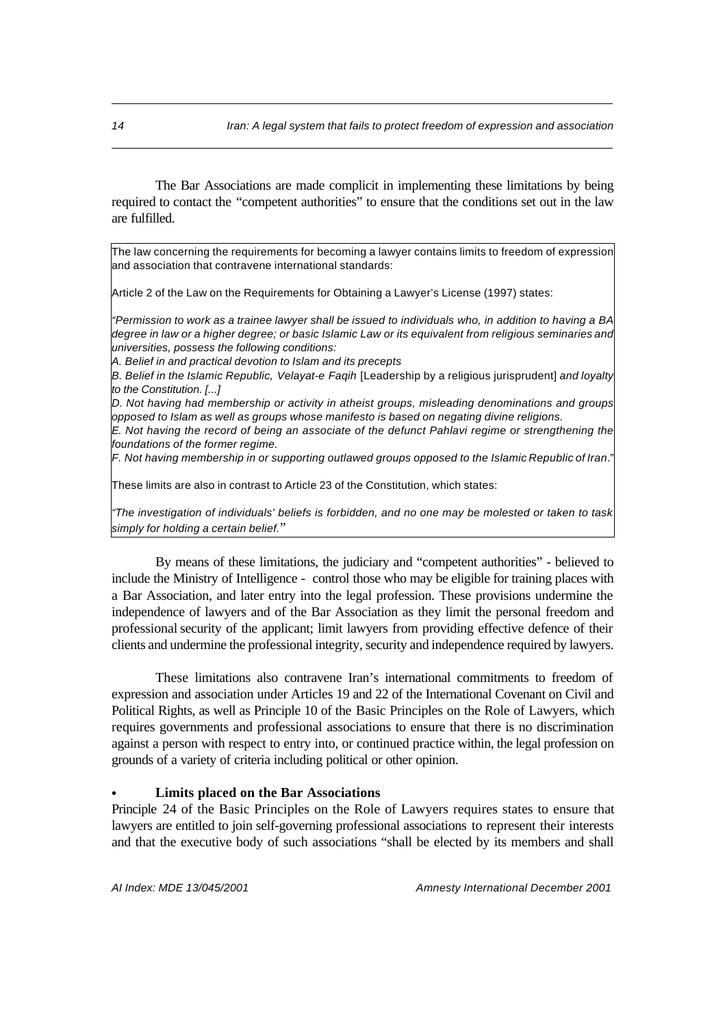The Bar Associations are made complicit in implementing these limitations by being required to contact the "competent authorities" to ensure that the conditions set out in the law are fulfilled.

The law concerning the requirements for becoming a lawyer contains limits to freedom of expression and association that contravene international standards:

Article 2 of the Law on the Requirements for Obtaining a Lawyer's License (1997) states:

*"Permission to work as a trainee lawyer shall be issued to individuals who, in addition to having a BA degree in law or a higher degree; or basic Islamic Law or its equivalent from religious seminaries and universities, possess the following conditions:*

*A. Belief in and practical devotion to Islam and its precepts*

*B. Belief in the Islamic Republic, Velayat-e Faqih* [Leadership by a religious jurisprudent] *and loyalty to the Constitution. [...]*

*D. Not having had membership or activity in atheist groups, misleading denominations and groups opposed to Islam as well as groups whose manifesto is based on negating divine religions.*

*E. Not having the record of being an associate of the defunct Pahlavi regime or strengthening the foundations of the former regime.*

*F. Not having membership in or supporting outlawed groups opposed to the Islamic Republic of Iran*."

These limits are also in contrast to Article 23 of the Constitution, which states:

*"The investigation of individuals' beliefs is forbidden, and no one may be molested or taken to task simply for holding a certain belief.*"

By means of these limitations, the judiciary and "competent authorities" - believed to include the Ministry of Intelligence - control those who may be eligible for training places with a Bar Association, and later entry into the legal profession. These provisions undermine the independence of lawyers and of the Bar Association as they limit the personal freedom and professional security of the applicant; limit lawyers from providing effective defence of their clients and undermine the professional integrity, security and independence required by lawyers.

These limitations also contravene Iran's international commitments to freedom of expression and association under Articles 19 and 22 of the International Covenant on Civil and Political Rights, as well as Principle 10 of the Basic Principles on the Role of Lawyers, which requires governments and professional associations to ensure that there is no discrimination against a person with respect to entry into, or continued practice within, the legal profession on grounds of a variety of criteria including political or other opinion.

#### **• Limits placed on the Bar Associations**

Principle 24 of the Basic Principles on the Role of Lawyers requires states to ensure that lawyers are entitled to join self-governing professional associations to represent their interests and that the executive body of such associations "shall be elected by its members and shall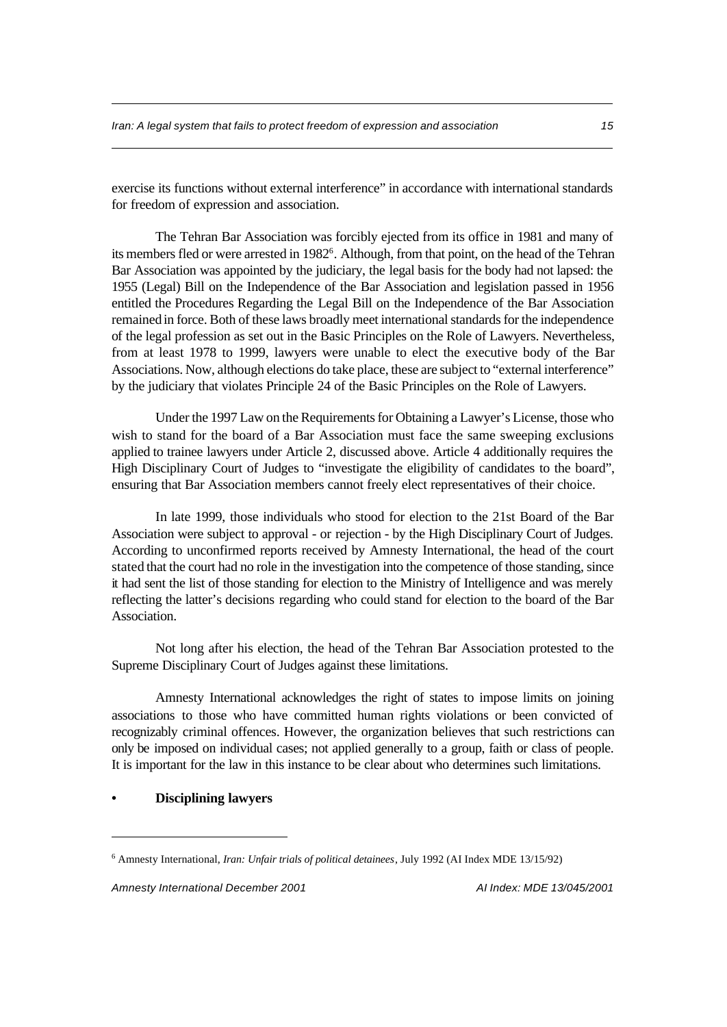exercise its functions without external interference" in accordance with international standards for freedom of expression and association.

The Tehran Bar Association was forcibly ejected from its office in 1981 and many of its members fled or were arrested in 1982<sup>6</sup>. Although, from that point, on the head of the Tehran Bar Association was appointed by the judiciary, the legal basis for the body had not lapsed: the 1955 (Legal) Bill on the Independence of the Bar Association and legislation passed in 1956 entitled the Procedures Regarding the Legal Bill on the Independence of the Bar Association remained in force. Both of these laws broadly meet international standards for the independence of the legal profession as set out in the Basic Principles on the Role of Lawyers. Nevertheless, from at least 1978 to 1999, lawyers were unable to elect the executive body of the Bar Associations. Now, although elections do take place, these are subject to "external interference" by the judiciary that violates Principle 24 of the Basic Principles on the Role of Lawyers.

Under the 1997 Law on the Requirements for Obtaining a Lawyer's License, those who wish to stand for the board of a Bar Association must face the same sweeping exclusions applied to trainee lawyers under Article 2, discussed above. Article 4 additionally requires the High Disciplinary Court of Judges to "investigate the eligibility of candidates to the board", ensuring that Bar Association members cannot freely elect representatives of their choice.

In late 1999, those individuals who stood for election to the 21st Board of the Bar Association were subject to approval - or rejection - by the High Disciplinary Court of Judges. According to unconfirmed reports received by Amnesty International, the head of the court stated that the court had no role in the investigation into the competence of those standing, since it had sent the list of those standing for election to the Ministry of Intelligence and was merely reflecting the latter's decisions regarding who could stand for election to the board of the Bar Association.

Not long after his election, the head of the Tehran Bar Association protested to the Supreme Disciplinary Court of Judges against these limitations.

Amnesty International acknowledges the right of states to impose limits on joining associations to those who have committed human rights violations or been convicted of recognizably criminal offences. However, the organization believes that such restrictions can only be imposed on individual cases; not applied generally to a group, faith or class of people. It is important for the law in this instance to be clear about who determines such limitations.

## **• Disciplining lawyers**

<sup>6</sup> Amnesty International, *Iran: Unfair trials of political detainees*, July 1992 (AI Index MDE 13/15/92)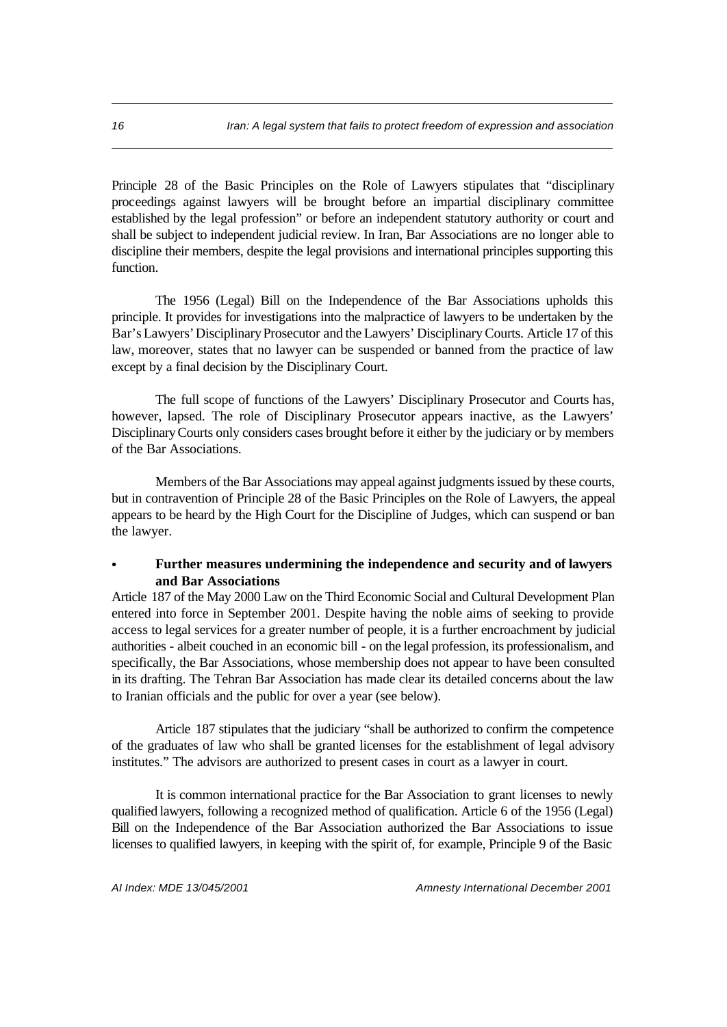Principle 28 of the Basic Principles on the Role of Lawyers stipulates that "disciplinary proceedings against lawyers will be brought before an impartial disciplinary committee established by the legal profession" or before an independent statutory authority or court and shall be subject to independent judicial review. In Iran, Bar Associations are no longer able to discipline their members, despite the legal provisions and international principles supporting this function.

The 1956 (Legal) Bill on the Independence of the Bar Associations upholds this principle. It provides for investigations into the malpractice of lawyers to be undertaken by the Bar's Lawyers' Disciplinary Prosecutor and the Lawyers' Disciplinary Courts. Article 17 of this law, moreover, states that no lawyer can be suspended or banned from the practice of law except by a final decision by the Disciplinary Court.

The full scope of functions of the Lawyers' Disciplinary Prosecutor and Courts has, however, lapsed. The role of Disciplinary Prosecutor appears inactive, as the Lawyers' Disciplinary Courts only considers cases brought before it either by the judiciary or by members of the Bar Associations.

Members of the Bar Associations may appeal against judgments issued by these courts, but in contravention of Principle 28 of the Basic Principles on the Role of Lawyers, the appeal appears to be heard by the High Court for the Discipline of Judges, which can suspend or ban the lawyer.

## **• Further measures undermining the independence and security and of lawyers and Bar Associations**

Article 187 of the May 2000 Law on the Third Economic Social and Cultural Development Plan entered into force in September 2001. Despite having the noble aims of seeking to provide access to legal services for a greater number of people, it is a further encroachment by judicial authorities - albeit couched in an economic bill - on the legal profession, its professionalism, and specifically, the Bar Associations, whose membership does not appear to have been consulted in its drafting. The Tehran Bar Association has made clear its detailed concerns about the law to Iranian officials and the public for over a year (see below).

Article 187 stipulates that the judiciary "shall be authorized to confirm the competence of the graduates of law who shall be granted licenses for the establishment of legal advisory institutes." The advisors are authorized to present cases in court as a lawyer in court.

It is common international practice for the Bar Association to grant licenses to newly qualified lawyers, following a recognized method of qualification. Article 6 of the 1956 (Legal) Bill on the Independence of the Bar Association authorized the Bar Associations to issue licenses to qualified lawyers, in keeping with the spirit of, for example, Principle 9 of the Basic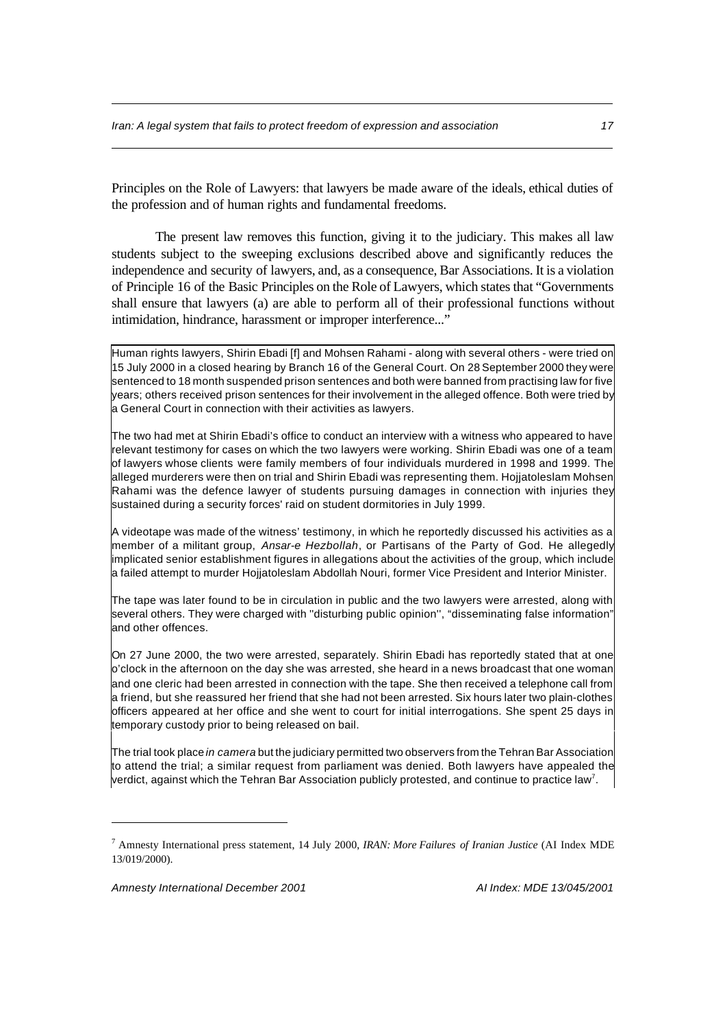Principles on the Role of Lawyers: that lawyers be made aware of the ideals, ethical duties of the profession and of human rights and fundamental freedoms.

The present law removes this function, giving it to the judiciary. This makes all law students subject to the sweeping exclusions described above and significantly reduces the independence and security of lawyers, and, as a consequence, Bar Associations. It is a violation of Principle 16 of the Basic Principles on the Role of Lawyers, which states that "Governments shall ensure that lawyers (a) are able to perform all of their professional functions without intimidation, hindrance, harassment or improper interference..."

Human rights lawyers, Shirin Ebadi [f] and Mohsen Rahami - along with several others - were tried on 15 July 2000 in a closed hearing by Branch 16 of the General Court. On 28 September 2000 they were sentenced to 18 month suspended prison sentences and both were banned from practising law for five years; others received prison sentences for their involvement in the alleged offence. Both were tried by a General Court in connection with their activities as lawyers.

The two had met at Shirin Ebadi's office to conduct an interview with a witness who appeared to have relevant testimony for cases on which the two lawyers were working. Shirin Ebadi was one of a team of lawyers whose clients were family members of four individuals murdered in 1998 and 1999. The alleged murderers were then on trial and Shirin Ebadi was representing them. Hojjatoleslam Mohsen Rahami was the defence lawyer of students pursuing damages in connection with injuries they sustained during a security forces' raid on student dormitories in July 1999.

A videotape was made of the witness' testimony, in which he reportedly discussed his activities as a member of a militant group, *Ansar-e Hezbollah*, or Partisans of the Party of God. He allegedly implicated senior establishment figures in allegations about the activities of the group, which include a failed attempt to murder Hojjatoleslam Abdollah Nouri, former Vice President and Interior Minister.

The tape was later found to be in circulation in public and the two lawyers were arrested, along with several others. They were charged with ''disturbing public opinion'', "disseminating false information" and other offences.

On 27 June 2000, the two were arrested, separately. Shirin Ebadi has reportedly stated that at one o'clock in the afternoon on the day she was arrested, she heard in a news broadcast that one woman and one cleric had been arrested in connection with the tape. She then received a telephone call from a friend, but she reassured her friend that she had not been arrested. Six hours later two plain-clothes officers appeared at her office and she went to court for initial interrogations. She spent 25 days in temporary custody prior to being released on bail.

The trial took place *in camera* but the judiciary permitted two observers from the Tehran Bar Association to attend the trial; a similar request from parliament was denied. Both lawyers have appealed the verdict, against which the Tehran Bar Association publicly protested, and continue to practice law<sup>7</sup>.

<sup>7</sup> Amnesty International press statement, 14 July 2000, *IRAN: More Failures of Iranian Justice* (AI Index MDE 13/019/2000).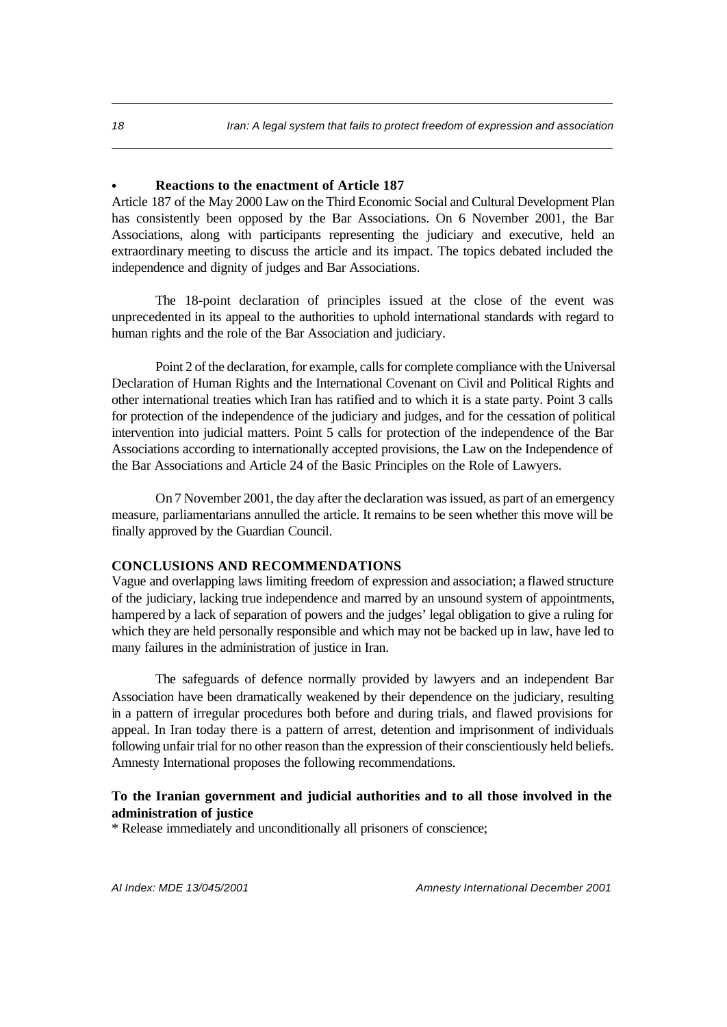## **• Reactions to the enactment of Article 187**

Article 187 of the May 2000 Law on the Third Economic Social and Cultural Development Plan has consistently been opposed by the Bar Associations. On 6 November 2001, the Bar Associations, along with participants representing the judiciary and executive, held an extraordinary meeting to discuss the article and its impact. The topics debated included the independence and dignity of judges and Bar Associations.

The 18-point declaration of principles issued at the close of the event was unprecedented in its appeal to the authorities to uphold international standards with regard to human rights and the role of the Bar Association and judiciary.

Point 2 of the declaration, for example, calls for complete compliance with the Universal Declaration of Human Rights and the International Covenant on Civil and Political Rights and other international treaties which Iran has ratified and to which it is a state party. Point 3 calls for protection of the independence of the judiciary and judges, and for the cessation of political intervention into judicial matters. Point 5 calls for protection of the independence of the Bar Associations according to internationally accepted provisions, the Law on the Independence of the Bar Associations and Article 24 of the Basic Principles on the Role of Lawyers.

On 7 November 2001, the day after the declaration was issued, as part of an emergency measure, parliamentarians annulled the article. It remains to be seen whether this move will be finally approved by the Guardian Council.

#### **CONCLUSIONS AND RECOMMENDATIONS**

Vague and overlapping laws limiting freedom of expression and association; a flawed structure of the judiciary, lacking true independence and marred by an unsound system of appointments, hampered by a lack of separation of powers and the judges' legal obligation to give a ruling for which they are held personally responsible and which may not be backed up in law, have led to many failures in the administration of justice in Iran.

The safeguards of defence normally provided by lawyers and an independent Bar Association have been dramatically weakened by their dependence on the judiciary, resulting in a pattern of irregular procedures both before and during trials, and flawed provisions for appeal. In Iran today there is a pattern of arrest, detention and imprisonment of individuals following unfair trial for no other reason than the expression of their conscientiously held beliefs. Amnesty International proposes the following recommendations.

## **To the Iranian government and judicial authorities and to all those involved in the administration of justice**

\* Release immediately and unconditionally all prisoners of conscience;